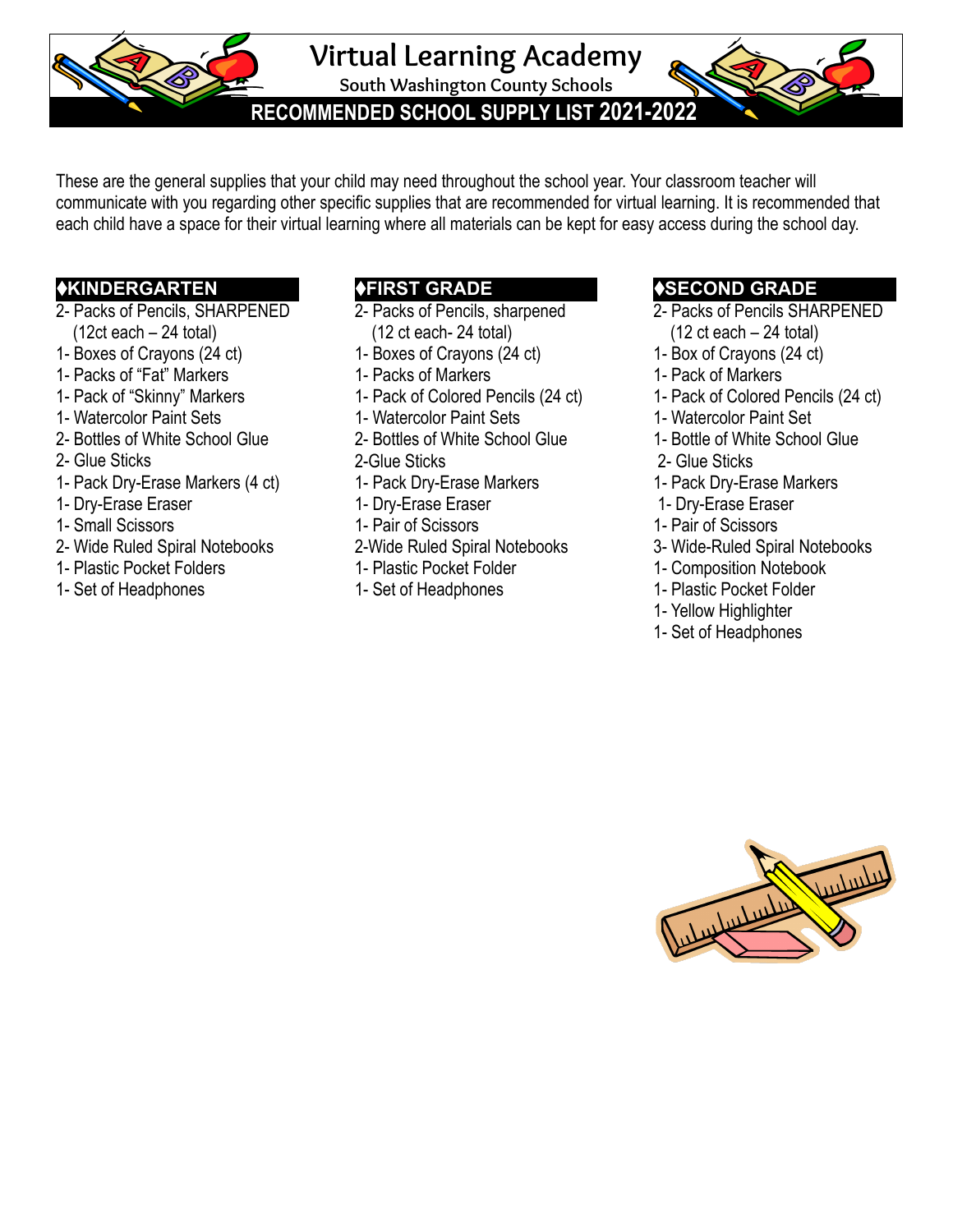**Virtual Learning Academy**

**South Washington County Schools**

**RECOMMENDED SCHOOL SUPPLY LIST 2021-2022***.*

These are the general supplies that your child may need throughout the school year. Your classroom teacher will communicate with you regarding other specific supplies that are recommended for virtual learning. It is recommended that each child have a space for their virtual learning where all materials can be kept for easy access during the school day.

#### ♦**KINDERGARTEN**

- 2- Packs of Pencils, SHARPENED
- $(12ct each 24 total)$
- 1- Boxes of Crayons (24 ct)
- 1- Packs of "Fat" Markers
- 1- Pack of "Skinny" Markers
- 1- Watercolor Paint Sets
- 2- Bottles of White School Glue
- 2- Glue Sticks
- 1- Pack Dry-Erase Markers (4 ct)
- 1- Dry-Erase Eraser
- 1- Small Scissors
- 2- Wide Ruled Spiral Notebooks
- 1- Plastic Pocket Folders
- 1- Set of Headphones

## ♦**FIRST GRADE**

- 2- Packs of Pencils, sharpened (12 ct each- 24 total)
- 1- Boxes of Crayons (24 ct)
- 1- Packs of Markers
- 1- Pack of Colored Pencils (24 ct)
- 1- Watercolor Paint Sets
- 2- Bottles of White School Glue
- 2-Glue Sticks
- 1- Pack Dry-Erase Markers
- 1- Dry-Erase Eraser
- 1- Pair of Scissors
- 2-Wide Ruled Spiral Notebooks
- 1- Plastic Pocket Folder
- 1- Set of Headphones

### ♦**SECOND GRADE**

- 2- Packs of Pencils SHARPENED  $(12 \text{ ct each} - 24 \text{ total})$
- 1- Box of Crayons (24 ct)
- 1- Pack of Markers
- 1- Pack of Colored Pencils (24 ct)
- 1- Watercolor Paint Set
- 1- Bottle of White School Glue
- 2- Glue Sticks
- 1- Pack Dry-Erase Markers
- 1- Dry-Erase Eraser
- 1- Pair of Scissors
- 3- Wide-Ruled Spiral Notebooks
- 1- Composition Notebook
- 1- Plastic Pocket Folder
- 1- Yellow Highlighter
- 1- Set of Headphones